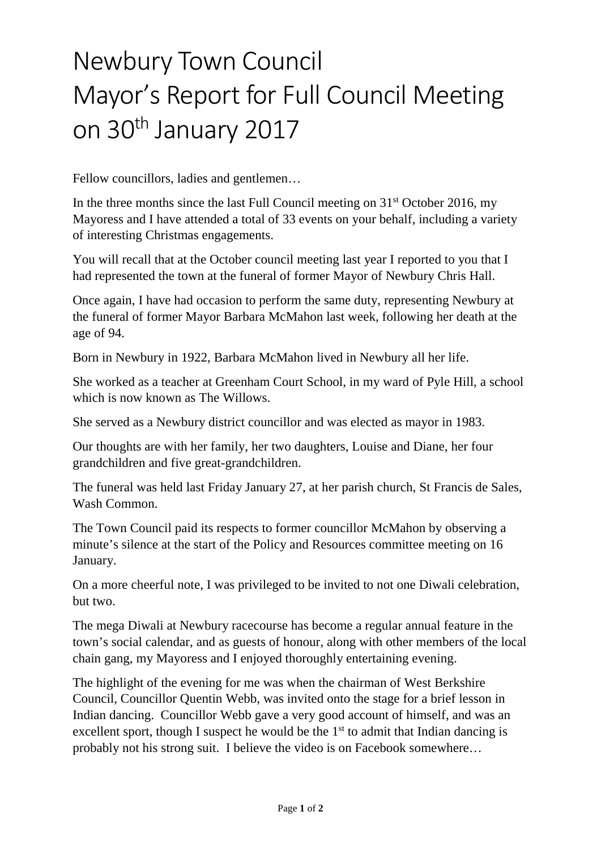## Newbury Town Council Mayor's Report for Full Council Meeting on 30<sup>th</sup> January 2017

Fellow councillors, ladies and gentlemen…

In the three months since the last Full Council meeting on  $31<sup>st</sup>$  October 2016, my Mayoress and I have attended a total of 33 events on your behalf, including a variety of interesting Christmas engagements.

You will recall that at the October council meeting last year I reported to you that I had represented the town at the funeral of former Mayor of Newbury Chris Hall.

Once again, I have had occasion to perform the same duty, representing Newbury at the funeral of former Mayor Barbara McMahon last week, following her death at the age of 94.

Born in Newbury in 1922, Barbara McMahon lived in Newbury all her life.

She worked as a teacher at Greenham Court School, in my ward of Pyle Hill, a school which is now known as The Willows.

She served as a Newbury district councillor and was elected as mayor in 1983.

Our thoughts are with her family, her two daughters, Louise and Diane, her four grandchildren and five great-grandchildren.

The funeral was held last Friday January 27, at her parish church, St Francis de Sales, Wash Common.

The Town Council paid its respects to former councillor McMahon by observing a minute's silence at the start of the Policy and Resources committee meeting on 16 January.

On a more cheerful note, I was privileged to be invited to not one Diwali celebration, but two.

The mega Diwali at Newbury racecourse has become a regular annual feature in the town's social calendar, and as guests of honour, along with other members of the local chain gang, my Mayoress and I enjoyed thoroughly entertaining evening.

The highlight of the evening for me was when the chairman of West Berkshire Council, Councillor Quentin Webb, was invited onto the stage for a brief lesson in Indian dancing. Councillor Webb gave a very good account of himself, and was an excellent sport, though I suspect he would be the  $1<sup>st</sup>$  to admit that Indian dancing is probably not his strong suit. I believe the video is on Facebook somewhere…